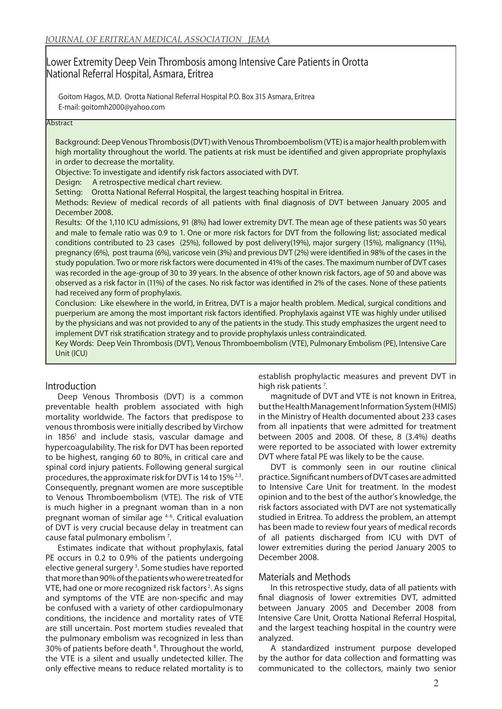# Lower Extremity Deep Vein Thrombosis among Intensive Care Patients in Orotta National Referral Hospital, Asmara, Eritrea

Goitom Hagos, M.D. Orotta National Referral Hospital P.O. Box 315 Asmara, Eritrea E-mail: goitomh2000@yahoo.com

#### **Abstract**

Background: Deep Venous Thrombosis (DVT) with Venous Thromboembolism (VTE) is a major health problem with high mortality throughout the world. The patients at risk must be identified and given appropriate prophylaxis in order to decrease the mortality.

Objective: To investigate and identify risk factors associated with DVT.

Design: A retrospective medical chart review.

Setting: Orotta National Referral Hospital, the largest teaching hospital in Eritrea.

Methods: Review of medical records of all patients with final diagnosis of DVT between January 2005 and December 2008.

Results: Of the 1,110 ICU admissions, 91 (8%) had lower extremity DVT. The mean age of these patients was 50 years and male to female ratio was 0.9 to 1. One or more risk factors for DVT from the following list; associated medical conditions contributed to 23 cases (25%), followed by post delivery(19%), major surgery (15%), malignancy (11%), pregnancy (6%), post trauma (6%), varicose vein (3%) and previous DVT (2%) were identified in 98% of the cases in the study population. Two or more risk factors were documented in 41% of the cases. The maximum number of DVT cases was recorded in the age-group of 30 to 39 years. In the absence of other known risk factors, age of 50 and above was observed as a risk factor in (11%) of the cases. No risk factor was identified in 2% of the cases. None of these patients had received any form of prophylaxis.

Conclusion: Like elsewhere in the world, in Eritrea, DVT is a major health problem. Medical, surgical conditions and puerperium are among the most important risk factors identified. Prophylaxis against VTE was highly under utilised by the physicians and was not provided to any of the patients in the study. This study emphasizes the urgent need to implement DVT risk stratification strategy and to provide prophylaxis unless contraindicated.

Key Words: Deep Vein Thrombosis (DVT), Venous Thromboembolism (VTE), Pulmonary Embolism (PE), Intensive Care Unit (ICU)

# Introduction

Deep Venous Thrombosis (DVT) is a common preventable health problem associated with high mortality worldwide. The factors that predispose to venous thrombosis were initially described by Virchow in 1856<sup>1</sup> and include stasis, vascular damage and hypercoagulability. The risk for DVT has been reported to be highest, ranging 60 to 80%, in critical care and spinal cord injury patients. Following general surgical procedures, the approximate risk for DVT is 14 to 15% 2,3. Consequently, pregnant women are more susceptible to Venous Thromboembolism (VTE). The risk of VTE is much higher in a pregnant woman than in a non pregnant woman of similar age 4-6. Critical evaluation of DVT is very crucial because delay in treatment can cause fatal pulmonary embolism<sup>7</sup>.

Estimates indicate that without prophylaxis, fatal PE occurs in 0.2 to 0.9% of the patients undergoing elective general surgery<sup>3</sup>. Some studies have reported that more than 90% of the patients who were treated for VTE, had one or more recognized risk factors 2. As signs and symptoms of the VTE are non-specific and may be confused with a variety of other cardiopulmonary conditions, the incidence and mortality rates of VTE are still uncertain. Post mortem studies revealed that the pulmonary embolism was recognized in less than 30% of patients before death<sup>8</sup>. Throughout the world, the VTE is a silent and usually undetected killer. The only effective means to reduce related mortality is to

establish prophylactic measures and prevent DVT in high risk patients<sup>7</sup>.

magnitude of DVT and VTE is not known in Eritrea, but the Health Management Information System (HMIS) in the Ministry of Health documented about 233 cases from all inpatients that were admitted for treatment between 2005 and 2008. Of these, 8 (3.4%) deaths were reported to be associated with lower extremity DVT where fatal PE was likely to be the cause.

DVT is commonly seen in our routine clinical practice. Significant numbers of DVT cases are admitted to Intensive Care Unit for treatment. In the modest opinion and to the best of the author's knowledge, the risk factors associated with DVT are not systematically studied in Eritrea. To address the problem, an attempt has been made to review four years of medical records of all patients discharged from ICU with DVT of lower extremities during the period January 2005 to December 2008.

# Materials and Methods

In this retrospective study, data of all patients with final diagnosis of lower extremities DVT, admitted between January 2005 and December 2008 from Intensive Care Unit, Orotta National Referral Hospital, and the largest teaching hospital in the country were analyzed.

A standardized instrument purpose developed by the author for data collection and formatting was communicated to the collectors, mainly two senior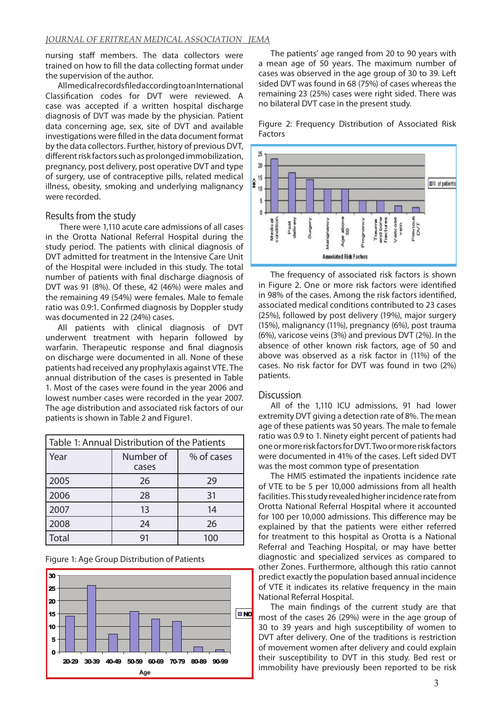nursing staff members. The data collectors were trained on how to fill the data collecting format under the supervision of the author.

All medical records filed according to an International Classification codes for DVT were reviewed. A case was accepted if a written hospital discharge diagnosis of DVT was made by the physician. Patient data concerning age, sex, site of DVT and available investigations were filled in the data document format by the data collectors. Further, history of previous DVT, different risk factors such as prolonged immobilization, pregnancy, post delivery, post operative DVT and type of surgery, use of contraceptive pills, related medical illness, obesity, smoking and underlying malignancy were recorded.

### Results from the study

 There were 1,110 acute care admissions of all cases in the Orotta National Referral Hospital during the study period. The patients with clinical diagnosis of DVT admitted for treatment in the Intensive Care Unit of the Hospital were included in this study. The total number of patients with final discharge diagnosis of DVT was 91 (8%). Of these, 42 (46%) were males and the remaining 49 (54%) were females. Male to female ratio was 0.9:1. Confirmed diagnosis by Doppler study was documented in 22 (24%) cases.

All patients with clinical diagnosis of DVT underwent treatment with heparin followed by warfarin. Therapeutic response and final diagnosis on discharge were documented in all. None of these patients had received any prophylaxis against VTE. The annual distribution of the cases is presented in Table 1. Most of the cases were found in the year 2006 and lowest number cases were recorded in the year 2007. The age distribution and associated risk factors of our patients is shown in Table 2 and Figure1.

| Table 1: Annual Distribution of the Patients |                    |            |
|----------------------------------------------|--------------------|------------|
| Year                                         | Number of<br>cases | % of cases |
| 2005                                         | 26                 | 29         |
| 2006                                         | 28                 | 31         |
| 2007                                         | 13                 | 14         |
| 2008                                         | 24                 | 26         |
| Total                                        |                    | 100        |

Figure 1: Age Group Distribution of Patients



The patients' age ranged from 20 to 90 years with a mean age of 50 years. The maximum number of cases was observed in the age group of 30 to 39. Left sided DVT was found in 68 (75%) of cases whereas the remaining 23 (25%) cases were right sided. There was no bilateral DVT case in the present study.





The frequency of associated risk factors is shown in Figure 2. One or more risk factors were identified in 98% of the cases. Among the risk factors identified, associated medical conditions contributed to 23 cases (25%), followed by post delivery (19%), major surgery (15%), malignancy (11%), pregnancy (6%), post trauma (6%), varicose veins (3%) and previous DVT (2%). In the absence of other known risk factors, age of 50 and above was observed as a risk factor in (11%) of the cases. No risk factor for DVT was found in two (2%) patients.

#### **Discussion**

All of the 1,110 ICU admissions, 91 had lower extremity DVT giving a detection rate of 8%. The mean age of these patients was 50 years. The male to female ratio was 0.9 to 1. Ninety eight percent of patients had one or more risk factors for DVT. Two or more risk factors were documented in 41% of the cases. Left sided DVT was the most common type of presentation

The HMIS estimated the inpatients incidence rate of VTE to be 5 per 10,000 admissions from all health facilities. This study revealed higher incidence rate from Orotta National Referral Hospital where it accounted for 100 per 10,000 admissions. This difference may be explained by that the patients were either referred for treatment to this hospital as Orotta is a National Referral and Teaching Hospital, or may have better diagnostic and specialized services as compared to other Zones. Furthermore, although this ratio cannot predict exactly the population based annual incidence of VTE it indicates its relative frequency in the main National Referral Hospital.

The main findings of the current study are that most of the cases 26 (29%) were in the age group of 30 to 39 years and high susceptibility of women to DVT after delivery. One of the traditions is restriction of movement women after delivery and could explain their susceptibility to DVT in this study. Bed rest or immobility have previously been reported to be risk